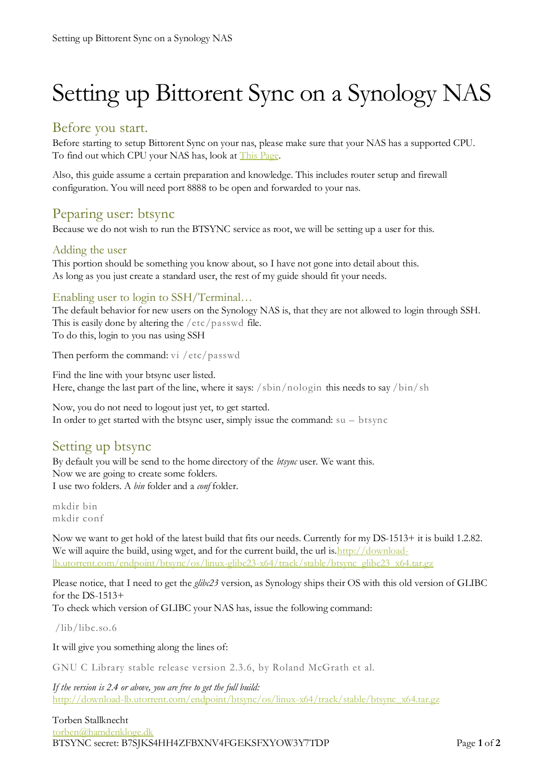# Setting up Bittorent Sync on a Synology NAS

### Before you start.

Before starting to setup Bittorent Sync on your nas, please make sure that your NAS has a supported CPU. To find out which CPU your NAS has, look at [This Page.](http://forum.synology.com/wiki/index.php/What_kind_of_CPU_does_my_NAS_have)

Also, this guide assume a certain preparation and knowledge. This includes router setup and firewall configuration. You will need port 8888 to be open and forwarded to your nas.

## Peparing user: btsync

Because we do not wish to run the BTSYNC service as root, we will be setting up a user for this.

#### Adding the user

This portion should be something you know about, so I have not gone into detail about this. As long as you just create a standard user, the rest of my guide should fit your needs.

#### Enabling user to login to SSH/Terminal…

The default behavior for new users on the Synology NAS is, that they are not allowed to login through SSH. This is easily done by altering the /etc/passwd file.

To do this, login to you nas using SSH

Then perform the command: vi /etc/passwd

Find the line with your btsync user listed. Here, change the last part of the line, where it says:  $/\sin/\mathrm{n}$  ologin this needs to say  $/\mathrm{bin}/\mathrm{sh}$ 

Now, you do not need to logout just yet, to get started. In order to get started with the btsync user, simply issue the command: su – btsync

## Setting up btsync

By default you will be send to the home directory of the *btsync* user. We want this. Now we are going to create some folders. I use two folders. A *bin* folder and a *conf* folder.

mkdir bin mkdir conf

Now we want to get hold of the latest build that fits our needs. Currently for my DS-1513+ it is build 1.2.82. We will aquire the build, using wget, and for the current build, the url is. http://download[lb.utorrent.com/endpoint/btsync/os/linux-glibc23-x64/track/stable/btsync\\_glibc23\\_x64.tar.gz](http://download-lb.utorrent.com/endpoint/btsync/os/linux-glibc23-x64/track/stable/btsync_glibc23_x64.tar.gz)

Please notice, that I need to get the *glibc23* version, as Synology ships their OS with this old version of GLIBC for the DS-1513+

To check which version of GLIBC your NAS has, issue the following command:

/lib/libc.so.6

It will give you something along the lines of:

GNU C Library stable release version 2.3.6, by Roland McGrath et al.

*If the version is 2.4 or above, you are free to get the full build:* [http://download-lb.utorrent.com/endpoint/btsync/os/linux-x64/track/stable/btsync\\_x64.tar.gz](http://download-lb.utorrent.com/endpoint/btsync/os/linux-x64/track/stable/btsync_x64.tar.gz)